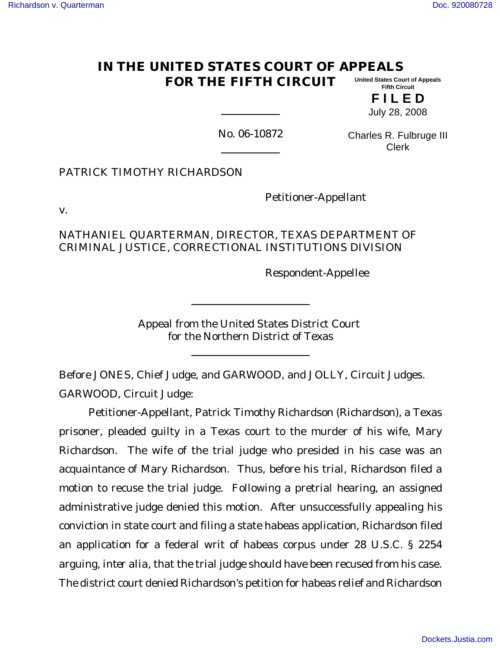#### **IN THE UNITED STATES COURT OF APPEALS FOR THE FIFTH CIRCUIT United States Court of Appeals Fifth Circuit**

**F I L E D** July 28, 2008

No. 06-10872

Charles R. Fulbruge III Clerk

PATRICK TIMOTHY RICHARDSON

Petitioner-Appellant

v.

NATHANIEL QUARTERMAN, DIRECTOR, TEXAS DEPARTMENT OF CRIMINAL JUSTICE, CORRECTIONAL INSTITUTIONS DIVISION

Respondent-Appellee

Appeal from the United States District Court for the Northern District of Texas

Before JONES, Chief Judge, and GARWOOD, and JOLLY, Circuit Judges. GARWOOD, Circuit Judge:

Petitioner-Appellant, Patrick Timothy Richardson (Richardson), a Texas prisoner, pleaded guilty in a Texas court to the murder of his wife, Mary Richardson. The wife of the trial judge who presided in his case was an acquaintance of Mary Richardson. Thus, before his trial, Richardson filed a motion to recuse the trial judge. Following a pretrial hearing, an assigned administrative judge denied this motion. After unsuccessfully appealing his conviction in state court and filing a state habeas application, Richardson filed an application for a federal writ of habeas corpus under 28 U.S.C. § 2254 arguing, *inter alia*, that the trial judge should have been recused from his case. The district court denied Richardson's petition for habeas relief and Richardson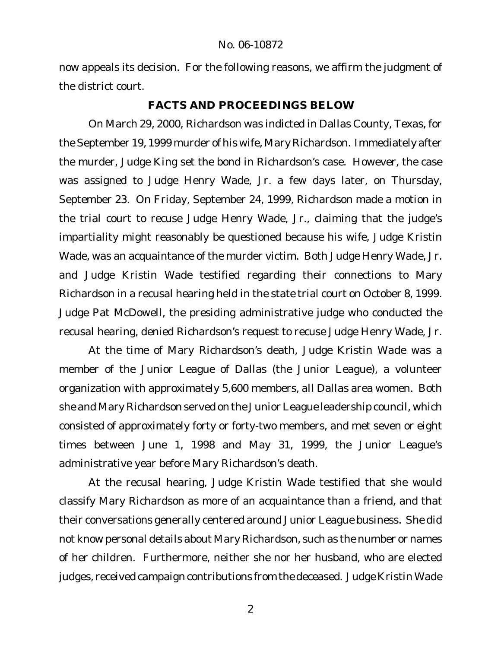now appeals its decision. For the following reasons, we affirm the judgment of the district court.

# **FACTS AND PROCEEDINGS BELOW**

On March 29, 2000, Richardson was indicted in Dallas County, Texas, for the September 19, 1999 murder of his wife, Mary Richardson. Immediately after the murder, Judge King set the bond in Richardson's case. However, the case was assigned to Judge Henry Wade, Jr. a few days later, on Thursday, September 23. On Friday, September 24, 1999, Richardson made a motion in the trial court to recuse Judge Henry Wade, Jr., claiming that the judge's impartiality might reasonably be questioned because his wife, Judge Kristin Wade, was an acquaintance of the murder victim. Both Judge Henry Wade, Jr. and Judge Kristin Wade testified regarding their connections to Mary Richardson in a recusal hearing held in the state trial court on October 8, 1999. Judge Pat McDowell, the presiding administrative judge who conducted the recusal hearing, denied Richardson's request to recuse Judge Henry Wade, Jr.

At the time of Mary Richardson's death, Judge Kristin Wade was a member of the Junior League of Dallas (the Junior League), a volunteer organization with approximately 5,600 members, all Dallas area women. Both she and Mary Richardson served on the Junior League leadership council, which consisted of approximately forty or forty-two members, and met seven or eight times between June 1, 1998 and May 31, 1999, the Junior League's administrative year before Mary Richardson's death.

At the recusal hearing, Judge Kristin Wade testified that she would classify Mary Richardson as more of an acquaintance than a friend, and that their conversations generally centered around Junior League business. She did not know personal details about Mary Richardson, such as the number or names of her children. Furthermore, neither she nor her husband, who are elected judges, received campaign contributions from the deceased. Judge Kristin Wade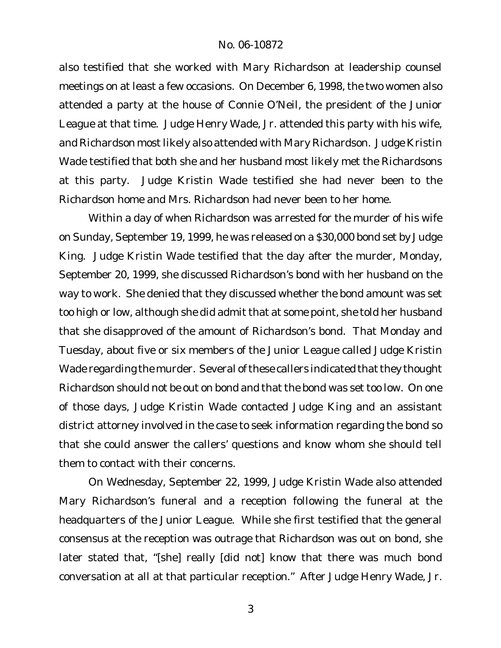also testified that she worked with Mary Richardson at leadership counsel meetings on at least a few occasions. On December 6, 1998, the two women also attended a party at the house of Connie O'Neil, the president of the Junior League at that time. Judge Henry Wade, Jr. attended this party with his wife, and Richardson most likely also attended with Mary Richardson. Judge Kristin Wade testified that both she and her husband most likely met the Richardsons at this party. Judge Kristin Wade testified she had never been to the Richardson home and Mrs. Richardson had never been to her home.

Within a day of when Richardson was arrested for the murder of his wife on Sunday, September 19, 1999, he was released on a \$30,000 bond set by Judge King. Judge Kristin Wade testified that the day after the murder, Monday, September 20, 1999, she discussed Richardson's bond with her husband on the way to work. She denied that they discussed whether the bond amount was set too high or low, although she did admit that at some point, she told her husband that she disapproved of the amount of Richardson's bond. That Monday and Tuesday, about five or six members of the Junior League called Judge Kristin Wade regarding the murder. Several of these callers indicated that they thought Richardson should not be out on bond and that the bond was set too low. On one of those days, Judge Kristin Wade contacted Judge King and an assistant district attorney involved in the case to seek information regarding the bond so that she could answer the callers' questions and know whom she should tell them to contact with their concerns.

On Wednesday, September 22, 1999, Judge Kristin Wade also attended Mary Richardson's funeral and a reception following the funeral at the headquarters of the Junior League. While she first testified that the general consensus at the reception was outrage that Richardson was out on bond, she later stated that, "[she] really [did not] know that there was much bond conversation at all at that particular reception." After Judge Henry Wade, Jr.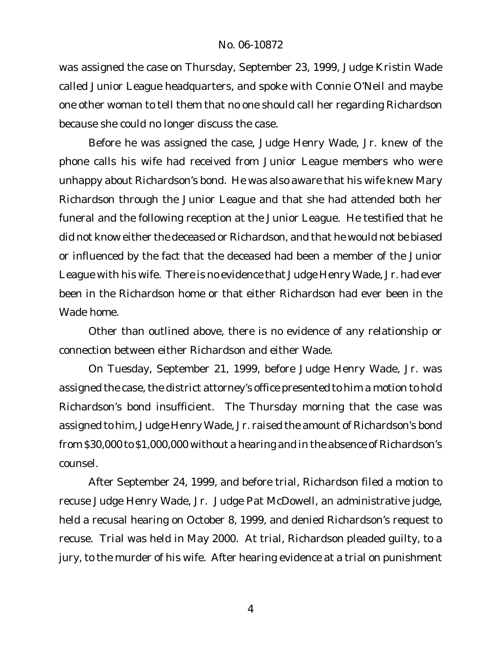was assigned the case on Thursday, September 23, 1999, Judge Kristin Wade called Junior League headquarters, and spoke with Connie O'Neil and maybe one other woman to tell them that no one should call her regarding Richardson because she could no longer discuss the case.

Before he was assigned the case, Judge Henry Wade, Jr. knew of the phone calls his wife had received from Junior League members who were unhappy about Richardson's bond. He was also aware that his wife knew Mary Richardson through the Junior League and that she had attended both her funeral and the following reception at the Junior League. He testified that he did not know either the deceased or Richardson, and that he would not be biased or influenced by the fact that the deceased had been a member of the Junior League with his wife. There is no evidence that Judge Henry Wade, Jr. had ever been in the Richardson home or that either Richardson had ever been in the Wade home.

Other than outlined above, there is no evidence of any relationship or connection between either Richardson and either Wade.

On Tuesday, September 21, 1999, before Judge Henry Wade, Jr. was assigned the case, the district attorney's office presented to him a motion to hold Richardson's bond insufficient. The Thursday morning that the case was assigned to him, Judge Henry Wade, Jr. raised the amount of Richardson's bond from \$30,000 to \$1,000,000 without a hearing and in the absence of Richardson's counsel.

After September 24, 1999, and before trial, Richardson filed a motion to recuse Judge Henry Wade, Jr. Judge Pat McDowell, an administrative judge, held a recusal hearing on October 8, 1999, and denied Richardson's request to recuse. Trial was held in May 2000. At trial, Richardson pleaded guilty, to a jury, to the murder of his wife. After hearing evidence at a trial on punishment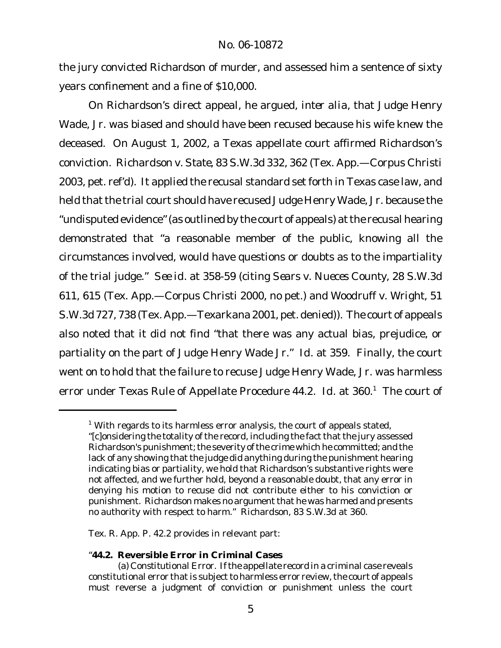the jury convicted Richardson of murder, and assessed him a sentence of sixty years confinement and a fine of \$10,000.

On Richardson's direct appeal, he argued, *inter alia*, that Judge Henry Wade, Jr. was biased and should have been recused because his wife knew the deceased. On August 1, 2002, a Texas appellate court affirmed Richardson's conviction. *Richardson v. State*, 83 S.W.3d 332, 362 (Tex. App.—Corpus Christi 2003, pet. ref'd). It applied the recusal standard set forth in Texas case law, and held that the trial court should have recused Judge Henry Wade, Jr. because the "undisputed evidence"(as outlined by the court of appeals) at the recusal hearing demonstrated that "a reasonable member of the public, knowing all the circumstances involved, would have questions or doubts as to the impartiality of the trial judge." *See id.* at 358-59 (citing *Sears v. Nueces County*, 28 S.W.3d 611, 615 (Tex. App.—Corpus Christi 2000, no pet.) and *Woodruff v. Wright*, 51 S.W.3d 727, 738 (Tex. App.—Texarkana 2001, pet. denied)). The court of appeals also noted that it did not find "that there was any actual bias, prejudice, or partiality on the part of Judge Henry Wade Jr." *Id*. at 359. Finally, the court went on to hold that the failure to recuse Judge Henry Wade, Jr. was harmless error under Texas Rule of Appellate Procedure 44.2. Id. at 360.<sup>1</sup> The court of

Tex. R. App. P. 42.2 provides in relevant part:

"**44.2. Reversible Error in Criminal Cases**

 $1$  With regards to its harmless error analysis, the court of appeals stated, "[c]onsidering the totality of the record, including the fact that the jury assessed Richardson's punishment; the severity of the crime which he committed; and the lack of any showing that the judge did anything during the punishment hearing indicating bias or partiality, we hold that Richardson's substantive rights were not affected, and we further hold, beyond a reasonable doubt, that any error in denying his motion to recuse did not contribute either to his conviction or punishment. Richardson makes no argument that he was harmed and presents no authority with respect to harm." *Richardson*, 83 S.W.3d at 360.

<sup>(</sup>a) *Constitutional Error.* If the appellate record in a criminal case reveals constitutional error that is subject to harmless error review, the court of appeals must reverse a judgment of conviction or punishment unless the court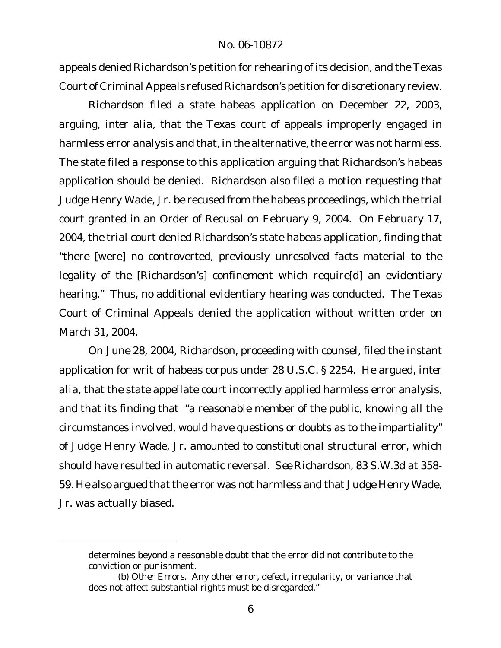appeals denied Richardson's petition for rehearing of its decision, and the Texas Court of Criminal Appeals refused Richardson's petition for discretionary review.

Richardson filed a state habeas application on December 22, 2003, arguing, *inter alia*, that the Texas court of appeals improperly engaged in harmless error analysis and that, in the alternative, the error was not harmless. The state filed a response to this application arguing that Richardson's habeas application should be denied. Richardson also filed a motion requesting that Judge Henry Wade, Jr. be recused from the habeas proceedings, which the trial court granted in an Order of Recusal on February 9, 2004. On February 17, 2004, the trial court denied Richardson's state habeas application, finding that "there [were] no controverted, previously unresolved facts material to the legality of the [Richardson's] confinement which require[d] an evidentiary hearing." Thus, no additional evidentiary hearing was conducted. The Texas Court of Criminal Appeals denied the application without written order on March 31, 2004.

On June 28, 2004, Richardson, proceeding with counsel, filed the instant application for writ of habeas corpus under 28 U.S.C. § 2254. He argued, *inter alia*, that the state appellate court incorrectly applied harmless error analysis, and that its finding that "a reasonable member of the public, knowing all the circumstances involved, would have questions or doubts as to the impartiality" of Judge Henry Wade, Jr. amounted to constitutional structural error, which should have resulted in automatic reversal. *See Richardson*, 83 S.W.3d at 358- 59. He also argued that the error was not harmless and that Judge Henry Wade, Jr. was actually biased.

determines beyond a reasonable doubt that the error did not contribute to the conviction or punishment.

<sup>(</sup>b) *Other Errors*. Any other error, defect, irregularity, or variance that does not affect substantial rights must be disregarded."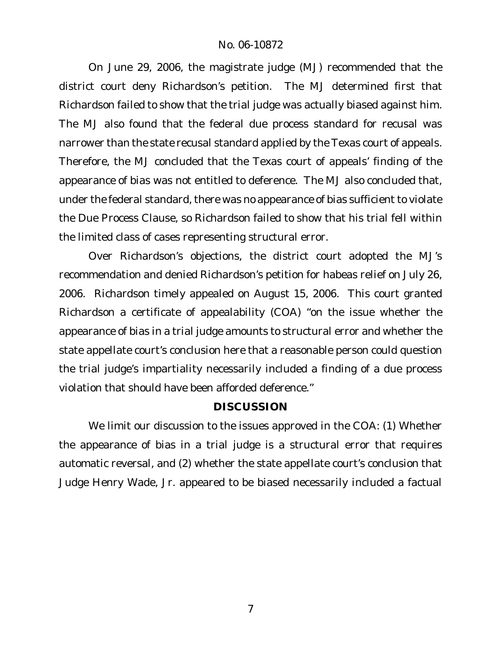On June 29, 2006, the magistrate judge (MJ) recommended that the district court deny Richardson's petition. The MJ determined first that Richardson failed to show that the trial judge was actually biased against him. The MJ also found that the federal due process standard for recusal was narrower than the state recusal standard applied by the Texas court of appeals. Therefore, the MJ concluded that the Texas court of appeals' finding of the appearance of bias was not entitled to deference. The MJ also concluded that, under the federal standard, there was no appearance of bias sufficient to violate the Due Process Clause, so Richardson failed to show that his trial fell within the limited class of cases representing structural error.

Over Richardson's objections, the district court adopted the MJ's recommendation and denied Richardson's petition for habeas relief on July 26, 2006. Richardson timely appealed on August 15, 2006. This court granted Richardson a certificate of appealability (COA) "on the issue whether the appearance of bias in a trial judge amounts to structural error and whether the state appellate court's conclusion here that a reasonable person could question the trial judge's impartiality necessarily included a finding of a due process violation that should have been afforded deference."

### **DISCUSSION**

We limit our discussion to the issues approved in the COA: (1) Whether the appearance of bias in a trial judge is a structural error that requires automatic reversal, and (2) whether the state appellate court's conclusion that Judge Henry Wade, Jr. appeared to be biased necessarily included a factual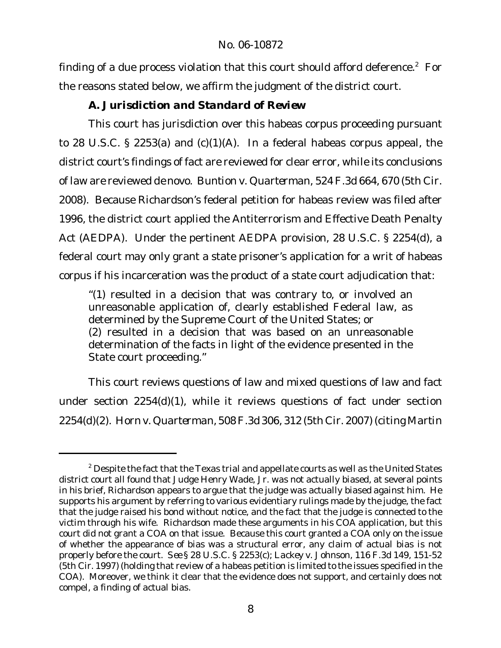finding of a due process violation that this court should afford deference. $2$  For the reasons stated below, we affirm the judgment of the district court.

*A. Jurisdiction and Standard of Review*

This court has jurisdiction over this habeas corpus proceeding pursuant to 28 U.S.C. § 2253(a) and (c)(1)(A). In a federal habeas corpus appeal, the district court's findings of fact are reviewed for clear error, while its conclusions of law are reviewed *de novo*. *Buntion v. Quarterman*, 524 F.3d 664, 670 (5th Cir. 2008). Because Richardson's federal petition for habeas review was filed after 1996, the district court applied the Antiterrorism and Effective Death Penalty Act (AEDPA). Under the pertinent AEDPA provision, 28 U.S.C. § 2254(d), a federal court may only grant a state prisoner's application for a writ of habeas corpus if his incarceration was the product of a state court adjudication that:

"(1) resulted in a decision that was contrary to, or involved an unreasonable application of, clearly established Federal law, as determined by the Supreme Court of the United States; or (2) resulted in a decision that was based on an unreasonable determination of the facts in light of the evidence presented in the State court proceeding."

This court reviews questions of law and mixed questions of law and fact under section 2254(d)(1), while it reviews questions of fact under section 2254(d)(2). *Horn v. Quarterman*, 508F.3d 306, 312 (5th Cir. 2007) (citing *Martin*

 $2$  Despite the fact that the Texas trial and appellate courts as well as the United States district court all found that Judge Henry Wade, Jr. was not actually biased, at several points in his brief, Richardson appears to argue that the judge was actually biased against him. He supports his argument by referring to various evidentiary rulings made by the judge, the fact that the judge raised his bond without notice, and the fact that the judge is connected to the victim through his wife. Richardson made these arguments in his COA application, but this court did not grant a COA on that issue. Because this court granted a COA only on the issue of whether the appearance of bias was a structural error, any claim of actual bias is not properly before the court. *See* § 28 U.S.C. § 2253(c); *Lackey v. Johnson*, 116 F.3d 149, 151-52 (5th Cir. 1997) (holding that review of a habeas petition is limited to the issues specified in the COA). Moreover, we think it clear that the evidence does not support, and certainly does not compel, a finding of actual bias.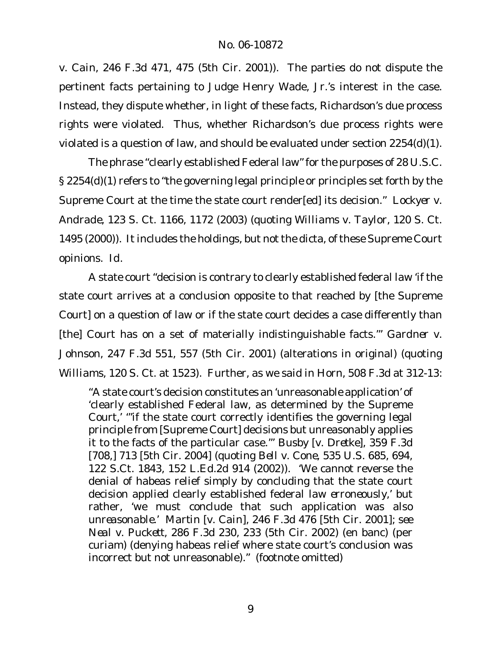*v. Cain*, 246 F.3d 471, 475 (5th Cir. 2001)). The parties do not dispute the pertinent facts pertaining to Judge Henry Wade, Jr.'s interest in the case. Instead, they dispute whether, in light of these facts, Richardson's due process rights were violated. Thus, whether Richardson's due process rights were violated is a question of law, and should be evaluated under section 2254(d)(1).

The phrase "clearly established Federal law" for the purposes of 28 U.S.C. § 2254(d)(1) refers to "the governing legal principle or principles set forth by the Supreme Court at the time the state court render[ed] its decision." *Lockyer v. Andrade*, 123 S. Ct. 1166, 1172 (2003) (quoting *Williams v. Taylor*, 120 S. Ct. 1495 (2000)). It includes the holdings, but not the dicta, of these Supreme Court opinions. *Id.*

A state court "decision is contrary to clearly established federal law 'if the state court arrives at a conclusion opposite to that reached by [the Supreme Court] on a question of law or if the state court decides a case differently than [the] Court has on a set of materially indistinguishable facts.'" *Gardner v. Johnson*, 247 F.3d 551, 557 (5th Cir. 2001) (alterations in original) (quoting *Williams*, 120 S. Ct. at 1523). Further, as we said in *Horn*, 508 F.3d at 312-13:

"A state court's decision constitutes an 'unreasonable application' of 'clearly established Federal law, as determined by the Supreme Court,' '"if the state court correctly identifies the governing legal principle from [Supreme Court] decisions but unreasonably applies it to the facts of the particular case."' *Busby* [*v. Dretke*], 359 F.3d [708,] 713 [5th Cir. 2004] (quoting *Bell v. Cone*, 535 U.S. 685, 694, 122 S.Ct. 1843, 152 L.Ed.2d 914 (2002)). 'We *cannot* reverse the denial of habeas relief simply by concluding that the state court decision applied clearly established federal law *erroneously*,' but rather, 'we must conclude that such application was also *unreasonable*.' *Martin* [*v. Cain*], 246 F.3d 476 [5th Cir. 2001]; *see Neal v. Puckett*, 286 F.3d 230, 233 (5th Cir. 2002) (en banc) (per curiam) (denying habeas relief where state court's conclusion was incorrect but not unreasonable)." (footnote omitted)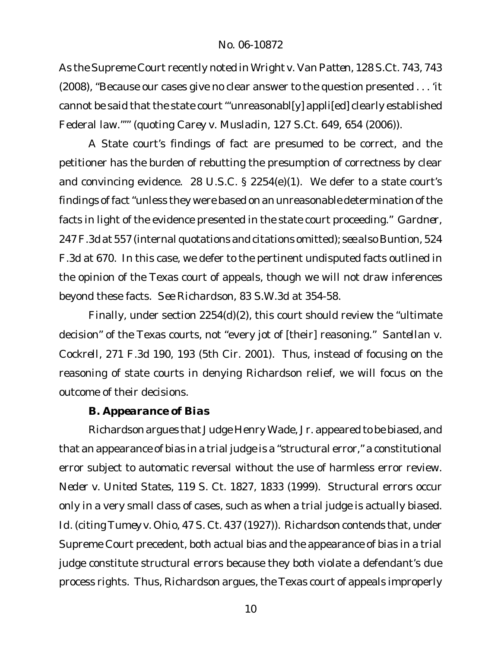As the Supreme Court recently noted in *Wright v. Van Patten*, 128 S.Ct. 743, 743 (2008), "Because our cases give no clear answer to the question presented . . . 'it cannot be said that the state court "'unreasonabl[y] appli[ed] clearly established Federal law."'" (quoting *Carey v. Musladin*, 127 S.Ct. 649, 654 (2006)).

A State court's findings of fact are presumed to be correct, and the petitioner has the burden of rebutting the presumption of correctness by clear and convincing evidence. 28 U.S.C. § 2254(e)(1). We defer to a state court's findings of fact "unless they were based on an unreasonable determination of the facts in light of the evidence presented in the state court proceeding." *Gardner*, 247F.3d at 557 (internal quotations and citations omitted); *see also Buntion*, 524 F.3d at 670. In this case, we defer to the pertinent undisputed facts outlined in the opinion of the Texas court of appeals, though we will not draw inferences beyond these facts. *See Richardson*, 83 S.W.3d at 354-58.

Finally, under section 2254(d)(2), this court should review the "ultimate decision" of the Texas courts, not "every jot of [their] reasoning." *Santellan v. Cockrell*, 271 F.3d 190, 193 (5th Cir. 2001). Thus, instead of focusing on the reasoning of state courts in denying Richardson relief, we will focus on the outcome of their decisions.

*B. Appearance of Bias*

Richardson argues that Judge Henry Wade, Jr. appeared to be biased, and that an appearance of bias in a trial judge is a "structural error," a constitutional error subject to automatic reversal without the use of harmless error review. *Neder v. United States*, 119 S. Ct. 1827, 1833 (1999). Structural errors occur only in a very small class of cases, such as when a trial judge is actually biased. *Id.* (citing *Tumey v. Ohio*, 47 S. Ct. 437 (1927)). Richardson contends that, under Supreme Court precedent, both actual bias and the appearance of bias in a trial judge constitute structural errors because they both violate a defendant's due process rights. Thus, Richardson argues, the Texas court of appeals improperly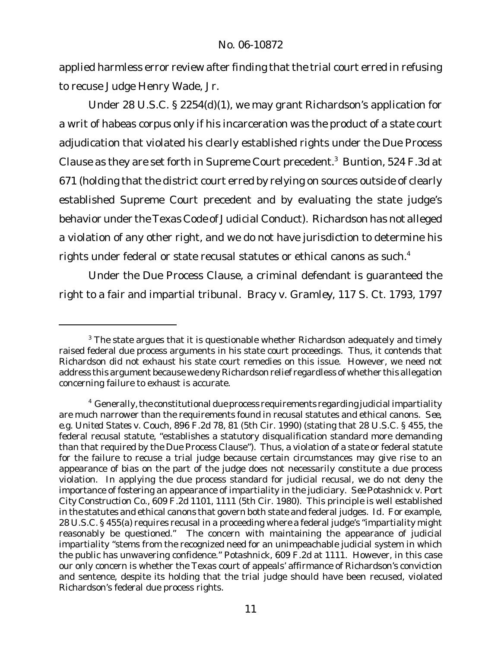applied harmless error review after finding that the trial court erred in refusing to recuse Judge Henry Wade, Jr.

Under 28 U.S.C. § 2254(d)(1), we may grant Richardson's application for a writ of habeas corpus only if his incarceration was the product of a state court adjudication that violated his clearly established rights under the Due Process Clause as they are set forth in Supreme Court precedent.<sup>3</sup> *Buntion*, 524 F.3d at 671 (holding that the district court erred by relying on sources outside of clearly established Supreme Court precedent and by evaluating the state judge's behavior under the Texas Code of Judicial Conduct). Richardson has not alleged a violation of any other right, and we do not have jurisdiction to determine his rights under federal or state recusal statutes or ethical canons as such.<sup>4</sup>

Under the Due Process Clause, a criminal defendant is guaranteed the right to a fair and impartial tribunal. *Bracy v. Gramley*, 117 S. Ct. 1793, 1797

 $3$  The state argues that it is questionable whether Richardson adequately and timely raised federal due process arguments in his state court proceedings. Thus, it contends that Richardson did not exhaust his state court remedies on this issue. However, we need not address this argument because we deny Richardson relief regardless of whether this allegation concerning failure to exhaust is accurate.

<sup>&</sup>lt;sup>4</sup> Generally, the constitutional due process requirements regarding judicial impartiality are much narrower than the requirements found in recusal statutes and ethical canons. *See, e.g. United States v. Couch*, 896 F.2d 78, 81 (5th Cir. 1990) (stating that 28 U.S.C. § 455, the federal recusal statute, "establishes a statutory disqualification standard more demanding than that required by the Due Process Clause"). Thus, a violation of a state or federal statute for the failure to recuse a trial judge because certain circumstances may give rise to an appearance of bias on the part of the judge does not necessarily constitute a due process violation. In applying the due process standard for judicial recusal, we do not deny the importance of fostering an appearance of impartiality in the judiciary. *See Potashnick v. Port City Construction Co.*, 609 F.2d 1101, 1111 (5th Cir. 1980). This principle is well established in the statutes and ethical canons that govern both state and federal judges. *Id.* For example, 28 U.S.C. § 455(a) requires recusal in a proceeding where a federal judge's "impartiality might reasonably be questioned." The concern with maintaining the appearance of judicial impartiality "stems from the recognized need for an unimpeachable judicial system in which the public has unwavering confidence." *Potashnick*, 609 F.2d at 1111. However, in this case our only concern is whether the Texas court of appeals' affirmance of Richardson's conviction and sentence, despite its holding that the trial judge should have been recused, violated Richardson's federal due process rights.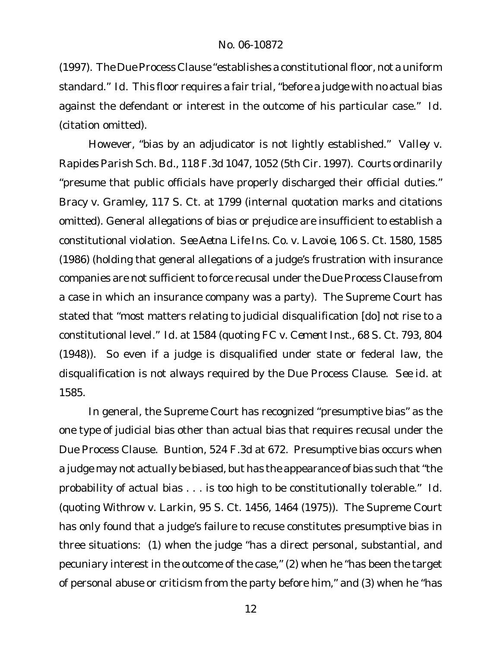(1997). The Due Process Clause "establishes a constitutional floor, not a uniform standard." *Id.* This floor requires a fair trial, "before a judge with no actual bias against the defendant or interest in the outcome of his particular case." *Id.* (citation omitted).

However, "bias by an adjudicator is not lightly established." *Valley v. Rapides Parish Sch. Bd.*, 118 F.3d 1047, 1052 (5th Cir. 1997). Courts ordinarily "presume that public officials have properly discharged their official duties." *Bracy v. Gramley*, 117 S. Ct. at 1799 (internal quotation marks and citations omitted). General allegations of bias or prejudice are insufficient to establish a constitutional violation. *See Aetna Life Ins. Co. v. Lavoie*, 106 S. Ct. 1580, 1585 (1986) (holding that general allegations of a judge's frustration with insurance companies are not sufficient to force recusal under the Due Process Clause from a case in which an insurance company was a party). The Supreme Court has stated that "most matters relating to judicial disqualification [do] not rise to a constitutional level." *Id.* at 1584 (quoting *FC v. Cement Inst.*, 68 S. Ct. 793, 804 (1948)). So even if a judge is disqualified under state or federal law, the disqualification is not always required by the Due Process Clause. *See id.* at 1585.

In general, the Supreme Court has recognized "presumptive bias" as the one type of judicial bias other than actual bias that requires recusal under the Due Process Clause. *Buntion*, 524 F.3d at 672. Presumptive bias occurs when a judge may not actually be biased, but has the appearance of bias such that "the probability of actual bias . . . is too high to be constitutionally tolerable." *Id.* (quoting *Withrow v. Larkin*, 95 S. Ct. 1456, 1464 (1975)). The Supreme Court has only found that a judge's failure to recuse constitutes presumptive bias in three situations: (1) when the judge "has a direct personal, substantial, and pecuniary interest in the outcome of the case," (2) when he "has been the target of personal abuse or criticism from the party before him," and (3) when he "has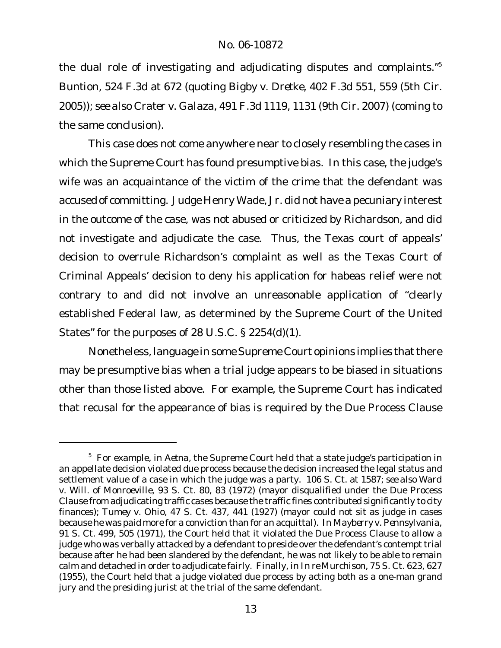the dual role of investigating and adjudicating disputes and complaints."<sup>5</sup> *Buntion*, 524 F.3d at 672 (quoting *Bigby v. Dretke*, 402 F.3d 551, 559 (5th Cir. 2005)); *see also Crater v. Galaza*, 491 F.3d 1119, 1131 (9th Cir. 2007) (coming to the same conclusion).

This case does not come anywhere near to closely resembling the cases in which the Supreme Court has found presumptive bias. In this case, the judge's wife was an acquaintance of the victim of the crime that the defendant was accused of committing. Judge Henry Wade, Jr. did not have a pecuniary interest in the outcome of the case, was not abused or criticized by Richardson, and did not investigate and adjudicate the case. Thus, the Texas court of appeals' decision to overrule Richardson's complaint as well as the Texas Court of Criminal Appeals' decision to deny his application for habeas relief were not contrary to and did not involve an unreasonable application of "clearly established Federal law, as determined by the Supreme Court of the United States" for the purposes of 28 U.S.C. § 2254(d)(1).

Nonetheless, language in some Supreme Court opinions implies that there may be presumptive bias when a trial judge appears to be biased in situations other than those listed above. For example, the Supreme Court has indicated that recusal for the appearance of bias is required by the Due Process Clause

<sup>5</sup> For example, in *Aetna*, the Supreme Court held that a state judge's participation in an appellate decision violated due process because the decision increased the legal status and settlement value of a case in which the judge was a party. 106 S. Ct. at 1587; *see also Ward v. Will. of Monroeville*, 93 S. Ct. 80, 83 (1972) (mayor disqualified under the Due Process Clause from adjudicating traffic cases because the traffic fines contributed significantly to city finances); *Tumey v. Ohio*, 47 S. Ct. 437, 441 (1927) (mayor could not sit as judge in cases because he was paid more for a conviction than for an acquittal). In *Mayberry v. Pennsylvania*, 91 S. Ct. 499, 505 (1971), the Court held that it violated the Due Process Clause to allow a judge who was verbally attacked by a defendant to preside over the defendant's contempt trial because after he had been slandered by the defendant, he was not likely to be able to remain calm and detached in order to adjudicate fairly. Finally, in *In re Murchison*, 75 S. Ct. 623, 627 (1955), the Court held that a judge violated due process by acting both as a one-man grand jury and the presiding jurist at the trial of the same defendant.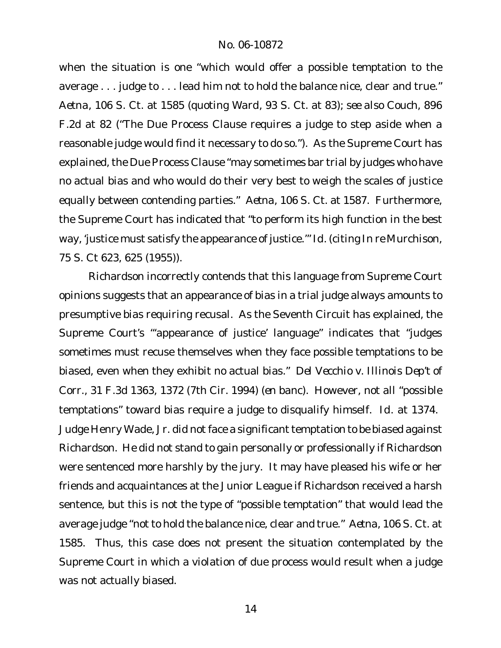when the situation is one "which would offer a possible temptation to the average . . . judge to . . . lead him not to hold the balance nice, clear and true." *Aetna*, 106 S. Ct. at 1585 (quoting *Ward*, 93 S. Ct. at 83); *see also Couch*, 896 F.2d at 82 ("The Due Process Clause requires a judge to step aside when a reasonable judge would find it necessary to do so."). As the Supreme Court has explained, the Due Process Clause "may sometimes bar trial by judges who have no actual bias and who would do their very best to weigh the scales of justice equally between contending parties." *Aetna*, 106 S. Ct. at 1587. Furthermore, the Supreme Court has indicated that "to perform its high function in the best way, 'justice must satisfy the appearance of justice.'" *Id.* (citing *In re Murchison*, 75 S. Ct 623, 625 (1955)).

Richardson incorrectly contends that this language from Supreme Court opinions suggests that an appearance of bias in a trial judge always amounts to presumptive bias requiring recusal. As the Seventh Circuit has explained, the Supreme Court's "'appearance of justice' language" indicates that "judges sometimes must recuse themselves when they face possible temptations to be biased, even when they exhibit no actual bias." *Del Vecchio v. Illinois Dep't of Corr.*, 31 F.3d 1363, 1372 (7th Cir. 1994) (*en banc*). However, not all "possible temptations" toward bias require a judge to disqualify himself. *Id.* at 1374. Judge Henry Wade, Jr. did not face a significant temptation to be biased against Richardson. He did not stand to gain personally or professionally if Richardson were sentenced more harshly by the jury. It may have pleased his wife or her friends and acquaintances at the Junior League if Richardson received a harsh sentence, but this is not the type of "possible temptation" that would lead the average judge "not to hold the balance nice, clear and true." *Aetna*, 106 S. Ct. at 1585. Thus, this case does not present the situation contemplated by the Supreme Court in which a violation of due process would result when a judge was not actually biased.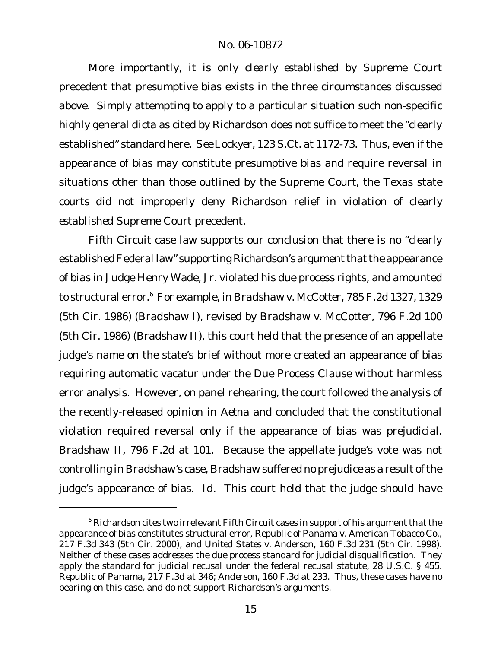More importantly, it is only *clearly established* by Supreme Court precedent that presumptive bias exists in the three circumstances discussed above. Simply attempting to apply to a particular situation such non-specific highly general *dicta* as cited by Richardson does not suffice to meet the "clearly established" standard here. *See Lockyer*, 123 S.Ct. at 1172-73. Thus, even if the appearance of bias may constitute presumptive bias and require reversal in situations other than those outlined by the Supreme Court, the Texas state courts did not improperly deny Richardson relief in violation of *clearly established* Supreme Court precedent.

Fifth Circuit case law supports our conclusion that there is no "clearly established Federal law" supporting Richardson's argument that the appearance of bias in Judge Henry Wade, Jr. violated his due process rights, and amounted to structural error.<sup>6</sup> For example, in *Bradshaw v. McCotter*, 785 F.2d 1327, 1329 (5th Cir. 1986) (*Bradshaw I*), revised by *Bradshaw v. McCotter*, 796 F.2d 100 (5th Cir. 1986) (*Bradshaw II*), this court held that the presence of an appellate judge's name on the state's brief without more created an appearance of bias requiring automatic vacatur under the Due Process Clause without harmless error analysis. However, on panel rehearing, the court followed the analysis of the recently-released opinion in *Aetna* and concluded that the constitutional violation required reversal only if the appearance of bias was prejudicial. *Bradshaw II*, 796 F.2d at 101. Because the appellate judge's vote was not controlling in Bradshaw's case, Bradshaw suffered no prejudice as a result ofthe judge's appearance of bias. *Id.* This court held that the judge should have

<sup>&</sup>lt;sup>6</sup> Richardson cites two irrelevant Fifth Circuit cases in support of his argument that the appearance of bias constitutes structural error, *Republic of Panama v. American Tobacco Co.*, 217 F.3d 343 (5th Cir. 2000), and *United States v. Anderson*, 160 F.3d 231 (5th Cir. 1998). Neither of these cases addresses the due process standard for judicial disqualification. They apply the standard for judicial recusal under the federal recusal statute, 28 U.S.C. § 455. *Republic of Panama*, 217 F.3d at 346; *Anderson*, 160 F.3d at 233. Thus, these cases have no bearing on this case, and do not support Richardson's arguments.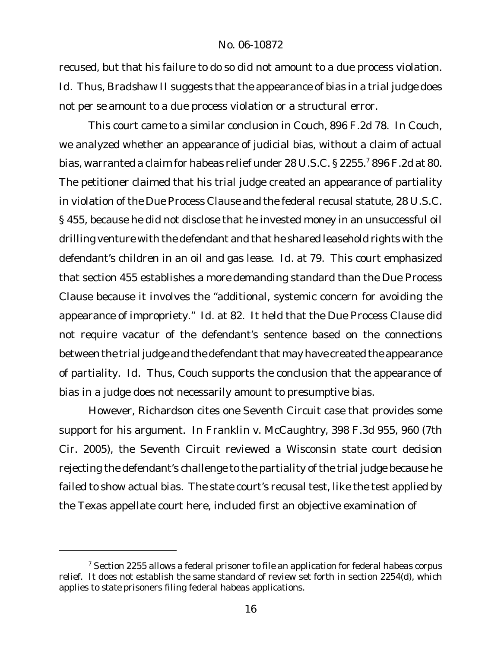recused, but that his failure to do so did not amount to a due process violation. *Id.* Thus, *Bradshaw II* suggests that the appearance of bias in a trial judge does not *per se* amount to a due process violation or a structural error.

This court came to a similar conclusion in *Couch*, 896 F.2d 78. In *Couch*, we analyzed whether an appearance of judicial bias, without a claim of actual bias, warranted a claim for habeas relief under 28 U.S.C. § 2255.<sup>7</sup> 896 F.2d at 80. The petitioner claimed that his trial judge created an appearance of partiality in violation of the Due Process Clause and the federal recusal statute, 28 U.S.C. § 455, because he did not disclose that he invested money in an unsuccessful oil drilling venture with the defendant and that he shared leasehold rights with the defendant's children in an oil and gas lease. *Id.* at 79. This court emphasized that section 455 establishes a *more* demanding standard than the Due Process Clause because it involves the "additional, systemic concern for avoiding the appearance of impropriety." *Id.* at 82. It held that the Due Process Clause did not require vacatur of the defendant's sentence based on the connections between the trial judge and the defendant that may have created the appearance of partiality. *Id.* Thus, *Couch* supports the conclusion that the appearance of bias in a judge does not necessarily amount to presumptive bias.

However, Richardson cites one Seventh Circuit case that provides some support for his argument. In *Franklin v. McCaughtry*, 398 F.3d 955, 960 (7th Cir. 2005), the Seventh Circuit reviewed a Wisconsin state court decision rejecting the defendant's challenge to the partiality of the trial judge because he failed to show actual bias. The state court's recusal test, like the test applied by the Texas appellate court here, included first an objective examination of

 $7$  Section 2255 allows a federal prisoner to file an application for federal habeas corpus relief. It does not establish the same standard of review set forth in section 2254(d), which applies to *state* prisoners filing federal habeas applications.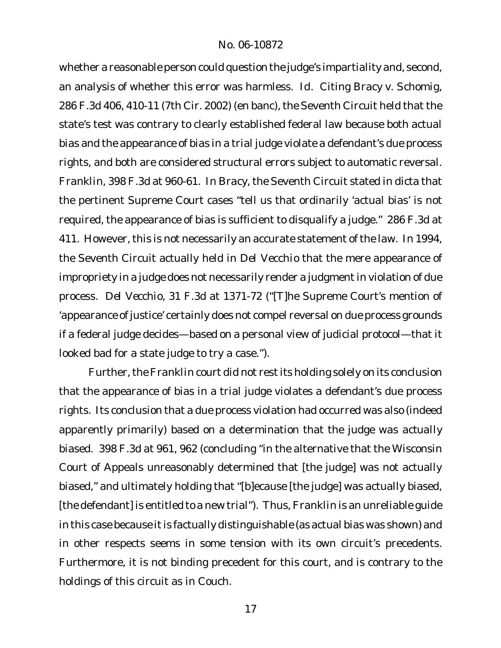whether a reasonable person could question the judge's impartiality and, second, an analysis of whether this error was harmless. *Id.* Citing *Bracy v. Schomig*, 286 F.3d 406, 410-11 (7th Cir. 2002) (en banc), the Seventh Circuit held that the state's test was contrary to clearly established federal law because both actual bias and the appearance of bias in a trial judge violate a defendant's due process rights, and both are considered structural errors subject to automatic reversal. *Franklin*, 398 F.3d at 960-61. In *Bracy*, the Seventh Circuit stated in dicta that the pertinent Supreme Court cases "tell us that ordinarily 'actual bias' is not required, the appearance of bias is sufficient to disqualify a judge." 286 F.3d at 411. However, this is not necessarily an accurate statement of the law. In 1994, the Seventh Circuit actually held in *Del Vecchio* that the mere appearance of impropriety in a judge does not necessarily render a judgment in violation of due process. *Del Vecchio*, 31 F.3d at 1371-72 ("[T]he Supreme Court's mention of 'appearance of justice' certainly does not compel reversal on due process grounds if a federal judge decides—based on a personal view of judicial protocol—that it looked bad for a state judge to try a case.").

Further, the Franklin court did not rest its holding solely on its conclusion that the appearance of bias in a trial judge violates a defendant's due process rights. Its conclusion that a due process violation had occurred was also (indeed apparently primarily) based on a determination that the judge was *actually* biased. 398 F.3d at 961, 962 (concluding "in the alternative that the Wisconsin Court of Appeals unreasonably determined that [the judge] was not actually biased," and ultimately holding that "[b]ecause [the judge] was actually biased, [the defendant] is entitled to a new trial"). Thus, *Franklin* is an unreliable guide in this case because it is factually distinguishable (as actual bias was shown) and in other respects seems in some tension with its own circuit's precedents. Furthermore, it is not binding precedent for this court, and is contrary to the holdings of this circuit as in *Couch*.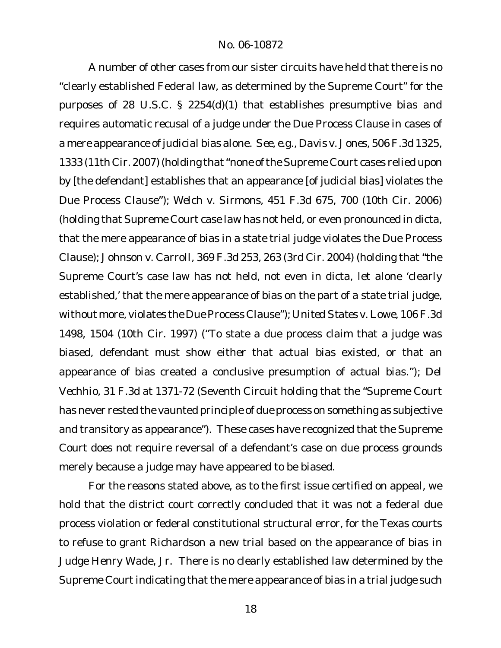A number of other cases from our sister circuits have held that there is no "clearly established Federal law, as determined by the Supreme Court" for the purposes of 28 U.S.C. § 2254(d)(1) that establishes presumptive bias and requires automatic recusal of a judge under the Due Process Clause in cases of a mere appearance of judicial bias alone. *See, e.g., Davis v. Jones*, 506 F.3d 1325, 1333 (11th Cir. 2007) (holding that "none of the Supreme Court cases relied upon by [the defendant] establishes that an appearance [of judicial bias] violates the Due Process Clause"); *Welch v. Sirmons*, 451 F.3d 675, 700 (10th Cir. 2006) (holding that Supreme Court case law has not held, or even pronounced in dicta, that the mere appearance of bias in a state trial judge violates the Due Process Clause); *Johnson v. Carroll*, 369 F.3d 253, 263 (3rd Cir. 2004) (holding that "the Supreme Court's case law has not held, not even in dicta, let alone 'clearly established,' that the mere appearance of bias on the part of a state trial judge, without more, violates the DueProcess Clause"); *United States v. Lowe*, 106 F.3d 1498, 1504 (10th Cir. 1997) ("To state a due process claim that a judge was biased, defendant must show either that actual bias existed, or that an appearance of bias created a conclusive presumption of actual bias."); *Del Vechhio*, 31 F.3d at 1371-72 (Seventh Circuit holding that the "Supreme Court has never rested the vaunted principle of due process on something as subjective and transitory as appearance"). These cases have recognized that the Supreme Court does not require reversal of a defendant's case on due process grounds merely because a judge may have appeared to be biased.

For the reasons stated above, as to the first issue certified on appeal, we hold that the district court correctly concluded that it was not a federal due process violation or federal constitutional structural error, for the Texas courts to refuse to grant Richardson a new trial based on the appearance of bias in Judge Henry Wade, Jr. There is no clearly established law determined by the Supreme Court indicating that the mere appearance of bias in a trial judge such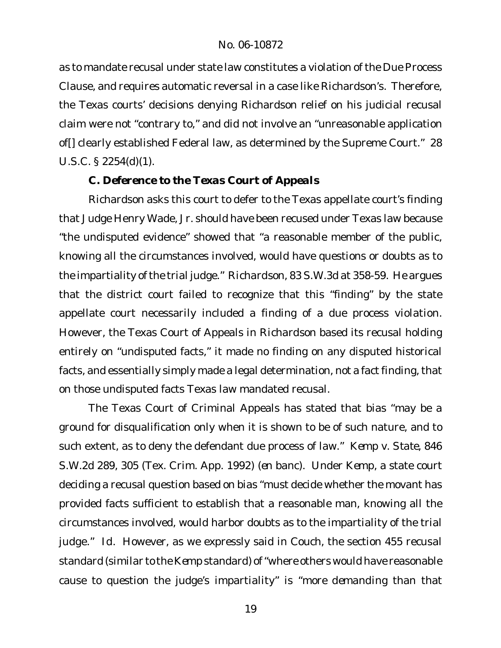as to mandate recusal under state law constitutes a violation of the Due Process Clause, and requires automatic reversal in a case like Richardson's. Therefore, the Texas courts' decisions denying Richardson relief on his judicial recusal claim were not "contrary to," and did not involve an "unreasonable application of[] clearly established Federal law, as determined by the Supreme Court." 28 U.S.C. § 2254(d)(1).

*C. Deference to the Texas Court of Appeals*

Richardson asks this court to defer to the Texas appellate court's finding that Judge Henry Wade, Jr. should have been recused under Texas law because "the undisputed evidence" showed that "a reasonable member of the public, knowing all the circumstances involved, would have questions or doubts as to the impartiality of the trial judge." Richardson, 83 S.W.3d at 358-59. He argues that the district court failed to recognize that this "finding" by the state appellate court necessarily included a finding of a due process violation. However, the Texas Court of Appeals in *Richardson* based its recusal holding entirely on "undisputed facts," it made no finding on any disputed historical facts, and essentially simply made a legal determination, not a fact finding, that on those undisputed facts Texas law mandated recusal.

The Texas Court of Criminal Appeals has stated that bias "may be a ground for disqualification only when it is shown to be of such nature, and to such extent, as to deny the defendant due process of law." *Kemp v. State*, 846 S.W.2d 289, 305 (Tex. Crim. App. 1992) (*en banc*). Under *Kemp*, a state court deciding a recusal question based on bias "must decide whether the movant has provided facts sufficient to establish that a reasonable man, knowing all the circumstances involved, would harbor doubts as to the impartiality of the trial judge." *Id*. However, as we expressly said in *Couch*, the section 455 recusal standard (similar to the *Kemp* standard) of"where others would have reasonable cause to question the judge's impartiality" is "*more demanding* than that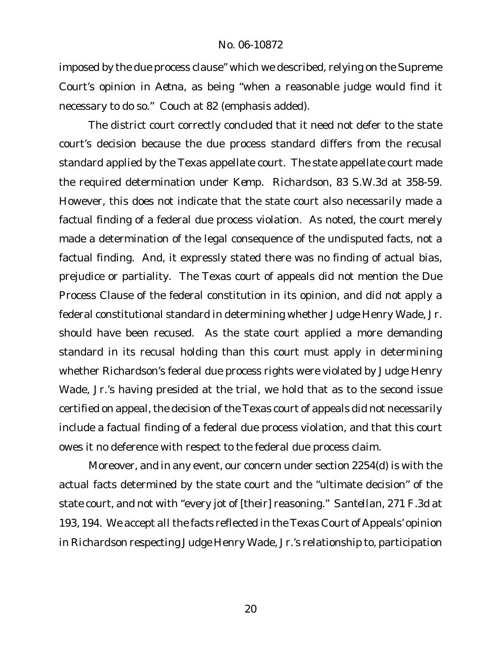imposed by the due process clause" which we described, relying on the Supreme Court's opinion in *Aetna*, as being "when a reasonable judge would find it necessary to do so." *Couch* at 82 (emphasis added).

The district court correctly concluded that it need not defer to the state court's decision because the due process standard differs from the recusal standard applied by the Texas appellate court. The state appellate court made the required determination under *Kemp*. *Richardson*, 83 S.W.3d at 358-59. However, this does not indicate that the state court also necessarily made a factual finding of a federal due process violation. As noted, the court merely made a determination of the legal consequence of the undisputed facts, not a factual finding. And, it expressly stated there was no finding of actual bias, prejudice or partiality. The Texas court of appeals did not mention the Due Process Clause of the federal constitution in its opinion, and did not apply a federal constitutional standard in determining whether Judge Henry Wade, Jr. should have been recused. As the state court applied a more demanding standard in its recusal holding than this court must apply in determining whether Richardson's federal due process rights were violated by Judge Henry Wade, Jr.'s having presided at the trial, we hold that as to the second issue certified on appeal, the decision of the Texas court of appeals did not necessarily include a *factual* finding of a federal due process violation, and that this court owes it no deference with respect to the federal due process claim.

Moreover, and in any event, our concern under section 2254(d) is with the actual facts determined by the state court and the "ultimate decision" of the state court, and not with "every jot of [their] reasoning." *Santellan*, 271 F.3d at 193, 194. We accept *all* the *facts* reflected in the Texas Court of Appeals' opinion in *Richardson* respecting Judge Henry Wade, Jr.'s relationship to, participation